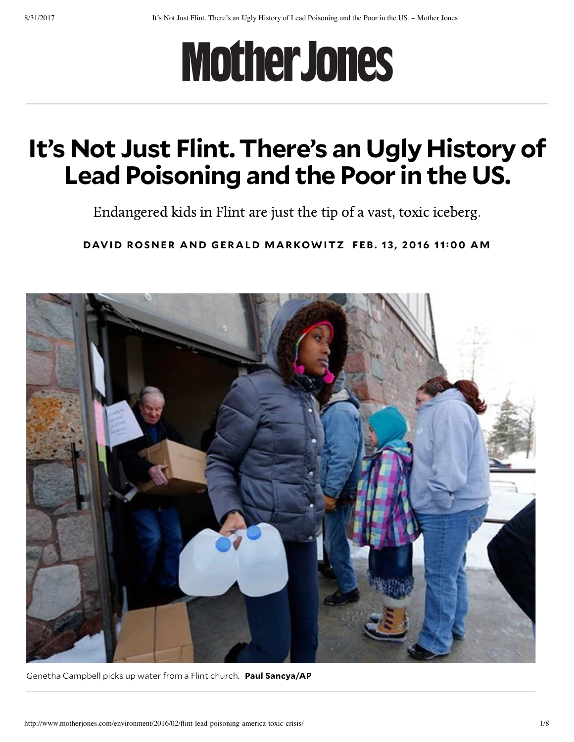# **MotherJones**

## **It's Not Just Flint. There's an Ugly History of Lead Poisoning and the Poor in the US.**

Endangered kids in Flint are just the tip of a vast, toxic iceberg.

**[DAVID](http://www.motherjones.com/author/david-rosner/) RO S N ER A N D GER A LD MA [RKOWITZ](http://www.motherjones.com/author/gerald-markowitz/) FEB. 1 3 , 2016 1 1 00 AM**



Genetha Campbell picks up water from a Flint church. **Paul Sancya/AP**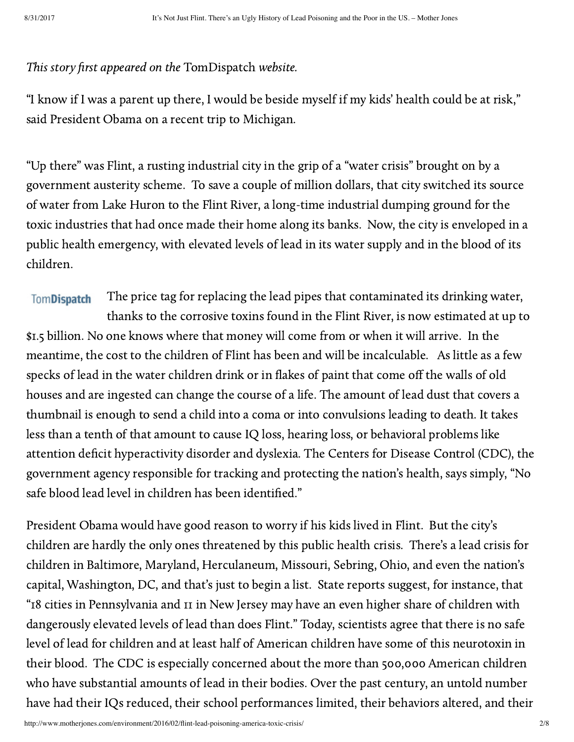### This [story](http://www.tomdispatch.com/blog/176101/) first appeared on the [TomDispatch](http://www.tomdispatch.com/) website.

"I know if I was a parent up there, I would be beside myself if my kids' health could be at risk," said President Obama on a [recent](http://www.freep.com/story/news/local/michigan/2016/01/16/president-obama-declares-emergency-flint/78898604/) trip to Michigan.

"Up there" was Flint, a rusting industrial city in the grip of a "water crisis" brought on by a government austerity scheme. To save a couple of million dollars, that city switched its source of water from Lake Huron to the Flint River, a long-time industrial dumping ground for the toxic industries that had once made their home along its banks. Now, the city is enveloped in a public health emergency, with elevated levels of lead in its water supply and in the blood of its children.

The price tag for replacing the lead pipes that contaminated its drinking water, **TomDispatch** thanks to the corrosive toxins found in the Flint River, is now [estimated](http://www.detroitnews.com/story/news/politics/2016/01/07/flint-water/78404218/) at up to \$1.5 billion. No one knows where that money will come from or when it will arrive. In the meantime, the cost to the children of Flint has been and will be incalculable. As little as a few specks of lead in the water children drink or in flakes of paint that come off the [walls](http://lydiadenworth.com/articles/poison-hid-home/) of old houses and are ingested can change the course of a life. The amount of lead dust that covers a thumbnail is enough to send a child into a coma or into convulsions leading to death. It takes less than a tenth of that amount to cause IQ loss, hearing loss, or behavioral problems like attention deficit hyperactivity disorder and dyslexia. The Centers for Disease [Control](http://www.cdc.gov/nceh/lead/acclpp/blood_lead_levels.htm) (CDC), the government agency responsible for tracking and protecting the nation's health, says simply, "No safe blood lead level in children has been identified."

President Obama would have good reason to worry if his kids lived in Flint. But the city's children are hardly the only ones threatened by this public [health](http://www.amazon.com/Lead-Wars-Politics-Americas-California/dp/0520273257/ref=sr_1_1?ie=UTF8&qid=1454274062&sr=8-1&keywords=lead+wars) crisis. There's a lead crisis for children in [Baltimore,](http://www.ncbi.nlm.nih.gov/pubmed/22994280) Maryland, [Herculaneum,](http://www.stltoday.com/news/local/crime-and-courts/smelter-was-to-blame-for-children-s-woes-in-herculaneum/article_e566a8fd-8845-5568-a2a3-32a87f7dd27f.html) Missouri, [Sebring,](http://www.dispatch.com/content/stories/local/2016/01/26/Ohio-EPA-knew-about-lead-issues-in-Sebring.html) Ohio, and even the nation's capital, [Washington,](http://www.cdc.gov/nceh/lead/blood_levels.htm) DC, and that's just to begin a list. State reports [suggest](http://www.philly.com/philly/health/20160205_Is_lead_poisoning_in_Pa___N_J__even_worse_than_Flint.html), for instance, that "18 cities in Pennsylvania and 11 in New Jersey may have an even higher share of children with dangerously elevated levels of lead than does Flint." Today, scientists agree that there is no safe level of lead for children and at least half of American children have some of this neurotoxin in their [blood](http://www.cdc.gov/exposurereport/). The CDC is especially concerned about the more than 500,000 American children who have substantial amounts of lead in their bodies. Over the past century, an untold number have had their IQs reduced, their school performances limited, their behaviors altered, and their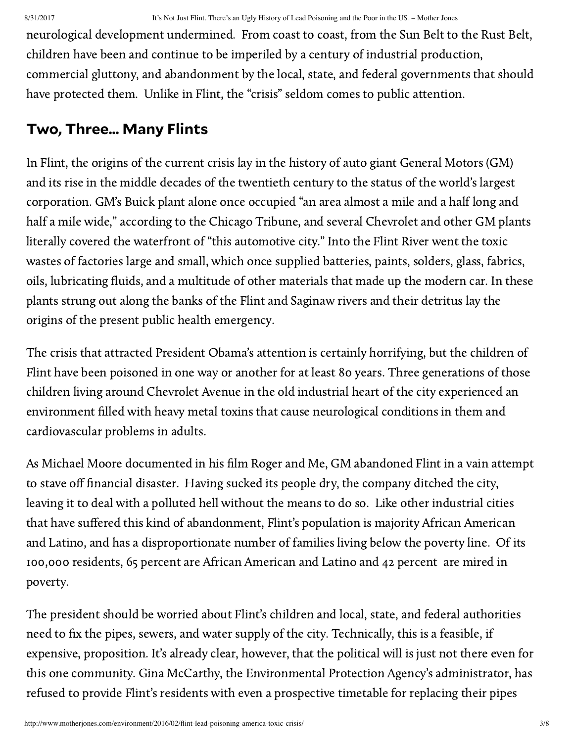neurological development [undermined.](http://www.ncbi.nlm.nih.gov/pmc/articles/PMC1257652/) From coast to coast, from the Sun Belt to the Rust Belt, children have been and continue to be imperiled by a century of industrial production, commercial gluttony, and abandonment by the local, state, and federal governments that should have protected them. Unlike in Flint, the "crisis" seldom comes to public attention.

## **Two, Three… Many Flints**

In Flint, the origins of the current crisis lay in the history of auto giant General Motors (GM) and its rise in the middle decades of the twentieth century to the status of the world's largest corporation. GM's Buick plant alone once occupied "an area almost a mile and a half long and half a mile wide," [according](http://archives.chicagotribune.com/1937/01/10/page/6/article/flint-hub-city-in-operations-of-seneral-motors/) to the Chicago Tribune, and several Chevrolet and [other](https://en.wikipedia.org/wiki/Fisher_Body) GM plants literally covered the waterfront of "this automotive city." Into the Flint River went the toxic wastes of factories large and small, which once supplied batteries, paints, solders, glass, fabrics, oils, lubricating fluids, and a multitude of other materials that made up the modern car. In these plants strung out along the banks of the Flint and Saginaw rivers and their detritus lay the origins of the present public health emergency.

The crisis that attracted President Obama's attention is certainly horrifying, but the children of Flint have been poisoned in one way or another for at least 80 years. Three generations of those children living around Chevrolet Avenue in the old industrial heart of the city experienced an environment filled with heavy metal toxins that cause neurological conditions in them and [cardiovascular](http://www.ncbi.nlm.nih.gov/pmc/articles/PMC1849948/) problems in adults.

As Michael Moore documented in his film [Roger](http://www.imdb.com/title/tt0098213/?ref_=fn_al_tt_1) and Me, GM abandoned Flint in a vain attempt to stave off financial disaster. Having sucked its people dry, the company ditched the city, leaving it to deal with a polluted hell without the means to do so. Like other industrial cities that have suffered this kind of abandonment, Flint's population is majority African American and Latino, and has a disproportionate number of families living below the poverty line. Of its 100,000 residents, 65 percent are African American and Latino and 42 [percent](https://medium.com/natural-resources-defense-council/making-it-right-in-flint-1b5c3b52bde1#.xgtxcfegb) are mired in poverty.

The president should be worried about Flint's children and local, state, and federal authorities need to fix the pipes, sewers, and water supply of the city. Technically, this is a feasible, if expensive, proposition. It's already clear, however, that the [political will](http://www.reuters.com/article/us-michigan-flint-fbi-idUSKCN0VB1DB) is just not there even for this one community. Gina McCarthy, the Environmental Protection Agency's administrator, has refused to provide Flint's residents with even a prospective timetable for replacing their pipes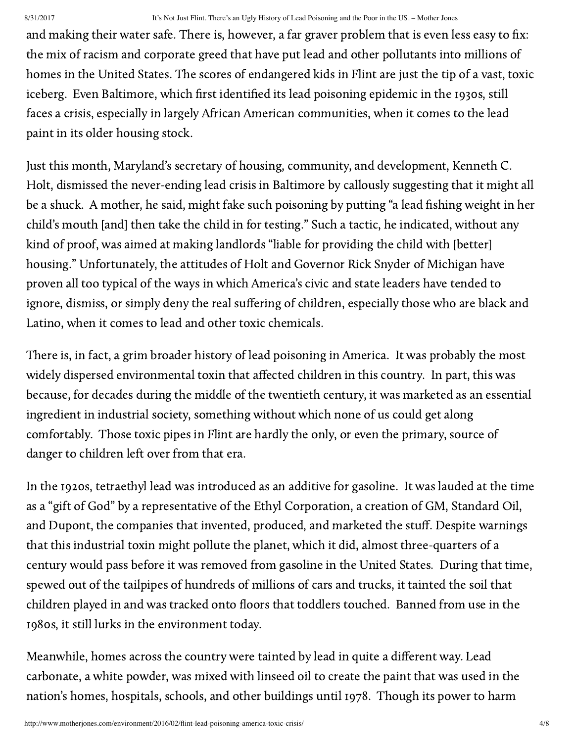#### 8/31/2017 It's Not Just Flint. There's an Ugly History of Lead Poisoning and the Poor in the US. – Mother Jones

and making their water safe. There is, however, a far graver problem that is even less easy to fix: the mix of racism and corporate greed that have put lead and other pollutants into millions of homes in the United States. The scores of endangered kids in Flint are just the tip of a vast, toxic iceberg. Even [Baltimore,](http://fivethirtyeight.com/features/baltimores-toxic-legacy-of-lead-paint/) which first identified its lead poisoning epidemic in the 1930s, still faces a crisis, especially in largely African American communities, when it comes to the lead paint in its older housing stock.

Just this month, Maryland's secretary of housing, community, and development, Kenneth C. Holt, dismissed the never-ending lead crisis in Baltimore by callously [suggesting](http://www.baltimoresun.com/news/maryland/bs-md-lead-liability-20150814-story.html) that it might all be a shuck. A mother, he said, might fake such poisoning by putting "a lead fishing weight in her child's mouth [and] then take the child in for testing." Such a tactic, he indicated, without any kind of proof, was aimed at making landlords "liable for providing the child with [better] housing." Unfortunately, the attitudes of Holt and Governor Rick Snyder of Michigan have proven all too typical of the ways in which America's civic and state leaders have tended to ignore, dismiss, or simply deny the real suffering of children, especially those who are black and Latino, when it comes to lead and other toxic chemicals.

There is, in fact, a grim [broader](http://www.amazon.com/s/ref=nb_sb_ss_c_0_14?url=search-alias%3Dstripbooks&field-keywords=deceit+and+denial&sprefix=deceit+and+den%2Caps%2C170) history of lead poisoning in America. It was probably the most widely dispersed environmental toxin that affected children in this country. In part, this was because, for decades during the middle of the twentieth century, it was marketed as an essential ingredient in industrial society, something without which none of us could get along comfortably. Those toxic pipes in Flint are hardly the only, or even the primary, source of danger to children left over from that era.

In the 1920s, tetraethyl lead was introduced as an additive for gasoline. It was lauded at the time as a "gift of [God"](http://www.ncbi.nlm.nih.gov/pmc/articles/PMC1646253/) by a representative of the Ethyl Corporation, a creation of GM, Standard Oil, and Dupont, the companies that invented, produced, and marketed the stuff. Despite warnings that this industrial toxin might pollute the planet, which it did, almost three-quarters of a century would pass before it was removed from gasoline in the United States. During that time, spewed out of the tailpipes of hundreds of millions of cars and trucks, it tainted the soil that children played in and was tracked onto floors that toddlers touched. Banned from use in the 1980s, it still lurks in the environment today.

Meanwhile, homes across the country were tainted by lead in quite a different way. Lead carbonate, a white powder, was mixed with linseed oil to create the paint that was used in the nation's homes, hospitals, schools, and other buildings until 1978. Though its power to harm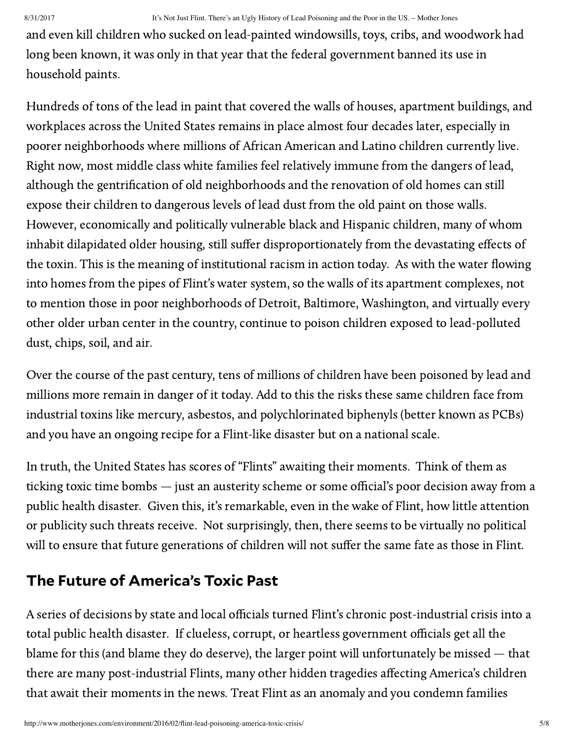and even kill children who sucked on lead-painted windowsills, toys, cribs, and woodwork had long been known, it was only in that year that the federal government [banned](https://www.google.com/url?sa=t&rct=j&q=&esrc=s&source=web&cd=1&ved=0ahUKEwiC96Pq7sfKAhVG12MKHfLVCzIQFggdMAA&url=https%3A%2F%2Fwww.cpsc.gov%2Fen%2Fmedia%2Fdocuments%2Fbusiness--manufacturing%2Fbusiness-education%2Fbusiness-guidance%2Flead-containing-paint-regulatory-summary-%2F&usg=AFQjCNHuk4kT2Ym0Wln49OZFVgvTpX8VlA&cad=rja) its use in household paints.

Hundreds of tons of the lead in paint that covered the walls of houses, apartment buildings, and workplaces across the United States remains in place almost four decades later, especially in poorer neighborhoods where millions of African American and Latino children currently live. Right now, most middle class white families feel relatively immune from the dangers of lead, although the gentrification of old neighborhoods and the renovation of old homes can still expose their children to dangerous levels of lead dust from the old paint on those walls. However, economically and politically vulnerable black and Hispanic children, many of whom inhabit dilapidated older housing, still suffer disproportionately from the devastating effects of the toxin. This is the meaning of institutional racism in action today. As with the water flowing into homes from the pipes of Flint's water system, so the walls of its apartment complexes, not to mention those in poor neighborhoods of Detroit, Baltimore, Washington, and virtually every other older urban center in the country, continue to poison children exposed to lead-polluted dust, chips, soil, and air.

Over the course of the past century, tens of millions of children have been poisoned by lead and millions more remain in danger of it today. Add to this the risks these same children face from industrial toxins like mercury, asbestos, and polychlorinated biphenyls (better known as PCBs) and you have an ongoing recipe for a Flint-like disaster but on a national scale.

In truth, the United States has scores of "Flints" awaiting their moments. Think of them as ticking toxic time bombs — just an austerity scheme or some official's poor decision away from a public health disaster. Given this, it's remarkable, even in the wake of Flint, how little attention or publicity such threats receive. Not surprisingly, then, there seems to be virtually no political will to ensure that future generations of children will not suffer the same fate as those in Flint.

## **The Future of America's Toxic Past**

A series of decisions by state and local officials turned Flint's chronic post-industrial crisis into a total public health disaster. If clueless, corrupt, or heartless government officials get all the blame for this (and blame they do deserve), the larger point will unfortunately be missed — that there are many post-industrial Flints, many other hidden tragedies affecting America's children that await their moments in the news. Treat Flint as an anomaly and you condemn families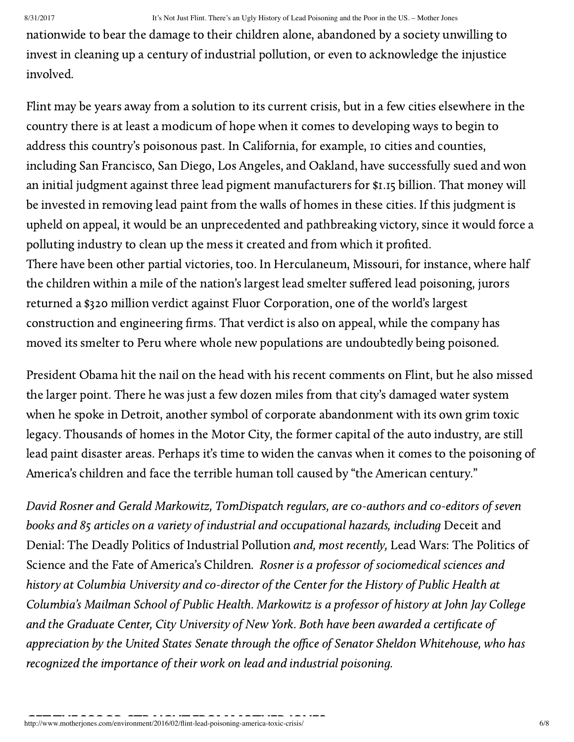#### 8/31/2017 It's Not Just Flint. There's an Ugly History of Lead Poisoning and the Poor in the US. – Mother Jones

nationwide to bear the damage to their children alone, abandoned by a society unwilling to invest in cleaning up a century of industrial pollution, or even to acknowledge the injustice involved.

Flint may be years away from a solution to its current crisis, but in a few cities elsewhere in the country there is at least a modicum of hope when it comes to developing ways to begin to address this country's poisonous past. In California, for example, 10 cities and counties, including San Francisco, San Diego, Los Angeles, and Oakland, have successfully sued and won an initial judgment against three lead pigment manufacturers for \$1.15 billion. That money will be invested in removing lead paint from the walls of homes in these cities. If this judgment is upheld on [appeal](http://www.mercurynews.com/opinion/ci_27443599/lead-paint-case-appeal-santa-clara-county-ruling), it would be an unprecedented and pathbreaking victory, since it would force a polluting industry to clean up the mess it created and from which it profited. There have been other partial victories, too. In Herculaneum, Missouri, for instance, where half the children within a mile of the nation's largest lead smelter suffered lead poisoning, jurors returned a \$320 [million](http://www.stltoday.com/news/local/metro/million-verdict-in-lead-smelter-case-sends-clear-message/article_12f7e0ba-29ab-5894-8067-9a45ad255cfa.html) verdict against Fluor Corporation, one of the world's largest construction and engineering firms. That verdict is also on appeal, while the company has moved its smelter to Peru where whole new populations are undoubtedly being [poisoned](http://www.breakinglawsuitnews.com/jury-awards-38-5-million-in-doe-run-a-t-massey-lead-poisoning-lawsuit/).

President Obama hit the nail on the head with his recent comments on Flint, but he also missed the larger point. There he was just a few dozen miles from that city's damaged water system when he spoke in Detroit, another symbol of corporate abandonment with its own grim toxic legacy. Thousands of homes in the Motor City, the former capital of the auto industry, are still lead paint disaster areas. Perhaps it's time to widen the canvas when it comes to the poisoning of America's children and face the terrible human toll caused by "the American century."

David Rosner and Gerald Markowitz, TomDispatch regulars, are co-authors and co-editors of seven books and 85 articles on a variety of industrial and occupational hazards, including Deceit and Denial: The Deadly Politics of Industrial Pollution and, most recently, Lead Wars: The Politics of Science and the Fate of America's Children. Rosner is a professor of sociomedical sciences and history at Columbia University and co-director of the Center for the History of Public Health at Columbia's Mailman School of Public Health. Markowitz is a professor of history at John Jay College and the Graduate Center, City University of New York. Both have been awarded a certificate of appreciation by the United States Senate through the office of Senator Sheldon Whitehouse, who has recognized the importance of their work on lead and industrial poisoning.